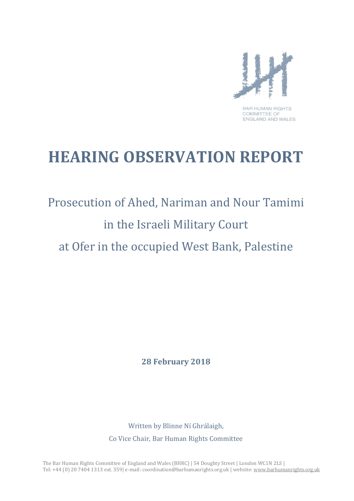

**COMMITTEE OF** ENGLAND AND WALES

# **HEARING OBSERVATION REPORT**

# Prosecution of Ahed, Nariman and Nour Tamimi in the Israeli Military Court at Ofer in the occupied West Bank, Palestine

**28 February 2018**

Written by Blinne Ní Ghrálaigh, Co Vice Chair, Bar Human Rights Committee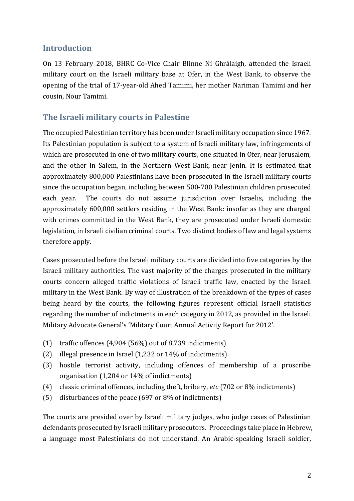#### **Introduction**

On 13 February 2018, BHRC Co-Vice Chair Blinne Ní Ghrálaigh, attended the Israeli military court on the Israeli military base at Ofer, in the West Bank, to observe the opening of the trial of 17-year-old Ahed Tamimi, her mother Nariman Tamimi and her cousin, Nour Tamimi.

#### **The Israeli military courts in Palestine**

The occupied Palestinian territory has been under Israeli military occupation since 1967. Its Palestinian population is subject to a system of Israeli military law, infringements of which are prosecuted in one of two military courts, one situated in Ofer, near Jerusalem, and the other in Salem, in the Northern West Bank, near Jenin. It is estimated that approximately 800,000 Palestinians have been prosecuted in the Israeli military courts since the occupation began, including between 500-700 Palestinian children prosecuted each year. The courts do not assume jurisdiction over Israelis, including the approximately 600,000 settlers residing in the West Bank: insofar as they are charged with crimes committed in the West Bank, they are prosecuted under Israeli domestic legislation, in Israeli civilian criminal courts. Two distinct bodies of law and legal systems therefore apply.

Cases prosecuted before the Israeli military courts are divided into five categories by the Israeli military authorities. The vast majority of the charges prosecuted in the military courts concern alleged traffic violations of Israeli traffic law, enacted by the Israeli military in the West Bank. By way of illustration of the breakdown of the types of cases being heard by the courts, the following figures represent official Israeli statistics regarding the number of indictments in each category in 2012, as provided in the Israeli Military Advocate General's 'Military Court Annual Activity Report for 2012'.

- (1) traffic offences (4,904 (56%) out of 8,739 indictments)
- (2) illegal presence in Israel (1,232 or 14% of indictments)
- (3) hostile terrorist activity, including offences of membership of a proscribe organisation (1,204 or 14% of indictments)
- (4) classic criminal offences, including theft, bribery, *etc* (702 or 8% indictments)
- (5) disturbances of the peace (697 or 8% of indictments)

The courts are presided over by Israeli military judges, who judge cases of Palestinian defendants prosecuted by Israeli military prosecutors. Proceedings take place in Hebrew, a language most Palestinians do not understand. An Arabic-speaking Israeli soldier,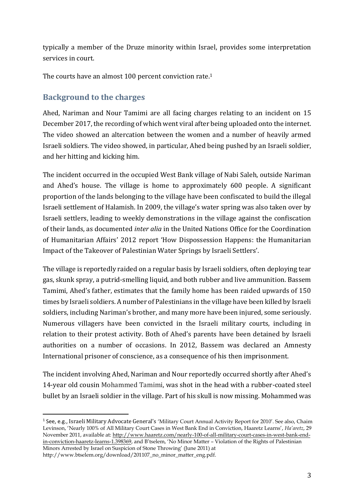typically a member of the Druze minority within Israel, provides some interpretation services in court.

The courts have an almost 100 percent conviction rate.<sup>1</sup>

#### **Background to the charges**

Ahed, Nariman and Nour Tamimi are all facing charges relating to an incident on 15 December 2017, the recording of which went viral after being uploaded onto the internet. The video showed an altercation between the women and a number of heavily armed Israeli soldiers. The video showed, in particular, Ahed being pushed by an Israeli soldier, and her hitting and kicking him.

The incident occurred in the occupied West Bank village of Nabi Saleh, outside Nariman and Ahed's house. The village is home to approximately 600 people. A significant proportion of the lands belonging to the village have been confiscated to build the illegal Israeli settlement of Halamish. In 2009, the village's water spring was also taken over by Israeli settlers, leading to weekly demonstrations in the village against the confiscation of their lands, as documented *inter alia* in the United Nations Office for the Coordination of Humanitarian Affairs' 2012 report 'How Dispossession Happens: the Humanitarian Impact of the Takeover of Palestinian Water Springs by Israeli Settlers'.

The village is reportedly raided on a regular basis by Israeli soldiers, often deploying tear gas, skunk spray, a putrid-smelling liquid, and both rubber and live ammunition. Bassem Tamimi, Ahed's father, estimates that the family home has been raided upwards of 150 times by Israeli soldiers. A number of Palestinians in the village have been killed by Israeli soldiers, including Nariman's brother, and many more have been injured, some seriously. Numerous villagers have been convicted in the Israeli military courts, including in relation to their protest activity. Both of Ahed's parents have been detained by Israeli authorities on a number of occasions. In 2012, Bassem was declared an Amnesty International prisoner of conscience, as a consequence of his then imprisonment.

The incident involving Ahed, Nariman and Nour reportedly occurred shortly after Ahed's 14-year old cousin Mohammed Tamimi, was shot in the head with a rubber-coated steel bullet by an Israeli soldier in the village. Part of his skull is now missing. Mohammed was

http://www.btselem.org/download/201107\_no\_minor\_matter\_eng.pdf.

l

<sup>&</sup>lt;sup>1</sup> See, e.g., Israeli Military Advocate General's 'Military Court Annual Activity Report for 2010'. See also, Chaim Levinson, 'Nearly 100% of All Military Court Cases in West Bank End in Conviction, Haaretz Learns', *Ha'aretz*, 29 November 2011, available at: [http://www.haaretz.com/nearly-100-of-all-military-court-cases-in-west-bank-end](http://www.haaretz.com/nearly-100-of-all-military-court-cases-in-west-bank-end-in-conviction-haaretz-learns-1.398369)[in-conviction-haaretz-learns-1.398369,](http://www.haaretz.com/nearly-100-of-all-military-court-cases-in-west-bank-end-in-conviction-haaretz-learns-1.398369) and B'tselem, 'No Minor Matter – Violation of the Rights of Palestinian Minors Arrested by Israel on Suspicion of Stone Throwing' (June 2011) at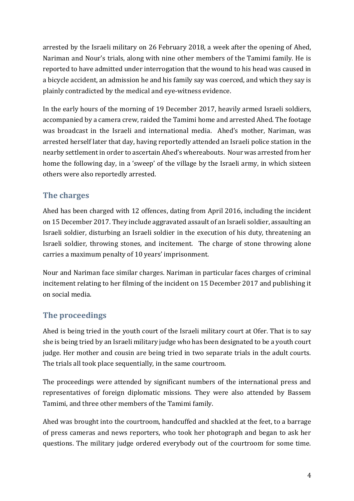arrested by the Israeli military on 26 February 2018, a week after the opening of Ahed, Nariman and Nour's trials, along with nine other members of the Tamimi family. He is reported to have admitted under interrogation that the wound to his head was caused in a bicycle accident, an admission he and his family say was coerced, and which they say is plainly contradicted by the medical and eye-witness evidence.

In the early hours of the morning of 19 December 2017, heavily armed Israeli soldiers, accompanied by a camera crew, raided the Tamimi home and arrested Ahed. The footage was broadcast in the Israeli and international media. Ahed's mother, Nariman, was arrested herself later that day, having reportedly attended an Israeli police station in the nearby settlement in order to ascertain Ahed's whereabouts. Nour was arrested from her home the following day, in a 'sweep' of the village by the Israeli army, in which sixteen others were also reportedly arrested.

# **The charges**

Ahed has been charged with 12 offences, dating from April 2016, including the incident on 15 December 2017. They include aggravated assault of an Israeli soldier, assaulting an Israeli soldier, disturbing an Israeli soldier in the execution of his duty, threatening an Israeli soldier, throwing stones, and incitement. The charge of stone throwing alone carries a maximum penalty of 10 years' imprisonment.

Nour and Nariman face similar charges. Nariman in particular faces charges of criminal incitement relating to her filming of the incident on 15 December 2017 and publishing it on social media.

# **The proceedings**

Ahed is being tried in the youth court of the Israeli military court at Ofer. That is to say she is being tried by an Israeli military judge who has been designated to be a youth court judge. Her mother and cousin are being tried in two separate trials in the adult courts. The trials all took place sequentially, in the same courtroom.

The proceedings were attended by significant numbers of the international press and representatives of foreign diplomatic missions. They were also attended by Bassem Tamimi, and three other members of the Tamimi family.

Ahed was brought into the courtroom, handcuffed and shackled at the feet, to a barrage of press cameras and news reporters, who took her photograph and began to ask her questions. The military judge ordered everybody out of the courtroom for some time.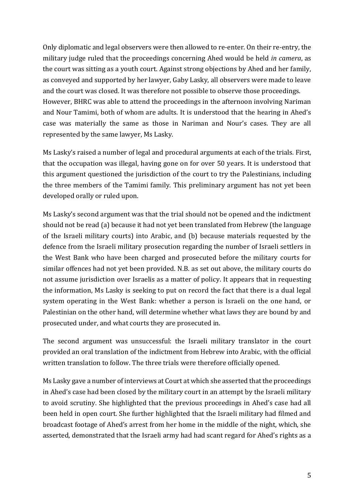Only diplomatic and legal observers were then allowed to re-enter. On their re-entry, the military judge ruled that the proceedings concerning Ahed would be held *in camera*, as the court was sitting as a youth court. Against strong objections by Ahed and her family, as conveyed and supported by her lawyer, Gaby Lasky, all observers were made to leave and the court was closed. It was therefore not possible to observe those proceedings. However, BHRC was able to attend the proceedings in the afternoon involving Nariman and Nour Tamimi, both of whom are adults. It is understood that the hearing in Ahed's case was materially the same as those in Nariman and Nour's cases. They are all represented by the same lawyer, Ms Lasky.

Ms Lasky's raised a number of legal and procedural arguments at each of the trials. First, that the occupation was illegal, having gone on for over 50 years. It is understood that this argument questioned the jurisdiction of the court to try the Palestinians, including the three members of the Tamimi family. This preliminary argument has not yet been developed orally or ruled upon.

Ms Lasky's second argument was that the trial should not be opened and the indictment should not be read (a) because it had not yet been translated from Hebrew (the language of the Israeli military courts) into Arabic, and (b) because materials requested by the defence from the Israeli military prosecution regarding the number of Israeli settlers in the West Bank who have been charged and prosecuted before the military courts for similar offences had not yet been provided. N.B. as set out above, the military courts do not assume jurisdiction over Israelis as a matter of policy. It appears that in requesting the information, Ms Lasky is seeking to put on record the fact that there is a dual legal system operating in the West Bank: whether a person is Israeli on the one hand, or Palestinian on the other hand, will determine whether what laws they are bound by and prosecuted under, and what courts they are prosecuted in.

The second argument was unsuccessful: the Israeli military translator in the court provided an oral translation of the indictment from Hebrew into Arabic, with the official written translation to follow. The three trials were therefore officially opened.

Ms Lasky gave a number of interviews at Court at which she asserted that the proceedings in Ahed's case had been closed by the military court in an attempt by the Israeli military to avoid scrutiny. She highlighted that the previous proceedings in Ahed's case had all been held in open court. She further highlighted that the Israeli military had filmed and broadcast footage of Ahed's arrest from her home in the middle of the night, which, she asserted, demonstrated that the Israeli army had had scant regard for Ahed's rights as a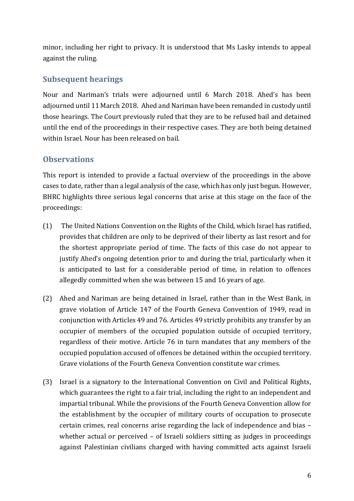minor, including her right to privacy. It is understood that Ms Lasky intends to appeal against the ruling.

#### **Subsequent hearings**

Nour and Nariman's trials were adjourned until 6 March 2018. Ahed's has been adjourned until 11 March 2018. Ahed and Nariman have been remanded in custody until those hearings. The Court previously ruled that they are to be refused bail and detained until the end of the proceedings in their respective cases. They are both being detained within Israel. Nour has been released on bail.

# **Observations**

This report is intended to provide a factual overview of the proceedings in the above cases to date, rather than a legal analysis of the case, which has only just begun. However, BHRC highlights three serious legal concerns that arise at this stage on the face of the proceedings:

- (1) The United Nations Convention on the Rights of the Child, which Israel has ratified, provides that children are only to be deprived of their liberty as last resort and for the shortest appropriate period of time. The facts of this case do not appear to justify Ahed's ongoing detention prior to and during the trial, particularly when it is anticipated to last for a considerable period of time, in relation to offences allegedly committed when she was between 15 and 16 years of age.
- (2) Ahed and Nariman are being detained in Israel, rather than in the West Bank, in grave violation of Article 147 of the Fourth Geneva Convention of 1949, read in conjunction with Articles 49 and 76. Articles 49 strictly prohibits any transfer by an occupier of members of the occupied population outside of occupied territory, regardless of their motive. Article 76 in turn mandates that any members of the occupied population accused of offences be detained within the occupied territory. Grave violations of the Fourth Geneva Convention constitute war crimes.
- (3) Israel is a signatory to the International Convention on Civil and Political Rights, which guarantees the right to a fair trial, including the right to an independent and impartial tribunal. While the provisions of the Fourth Geneva Convention allow for the establishment by the occupier of military courts of occupation to prosecute certain crimes, real concerns arise regarding the lack of independence and bias – whether actual or perceived – of Israeli soldiers sitting as judges in proceedings against Palestinian civilians charged with having committed acts against Israeli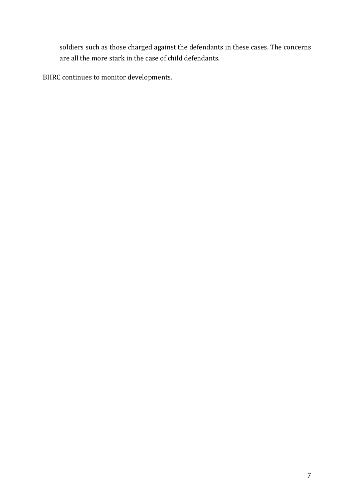soldiers such as those charged against the defendants in these cases. The concerns are all the more stark in the case of child defendants.

BHRC continues to monitor developments.